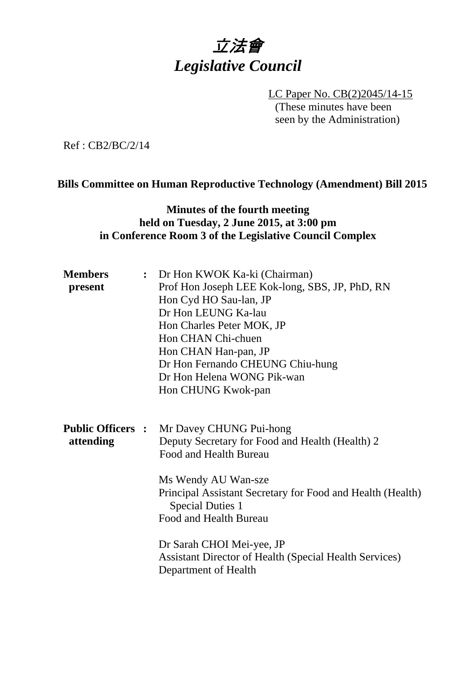

LC Paper No. CB(2)2045/14-15 (These minutes have been seen by the Administration)

Ref : CB2/BC/2/14

## **Bills Committee on Human Reproductive Technology (Amendment) Bill 2015**

# **Minutes of the fourth meeting held on Tuesday, 2 June 2015, at 3:00 pm in Conference Room 3 of the Legislative Council Complex**

| <b>Members</b>                        | $\ddot{\cdot}$ | Dr Hon KWOK Ka-ki (Chairman)                                                          |
|---------------------------------------|----------------|---------------------------------------------------------------------------------------|
| present                               |                | Prof Hon Joseph LEE Kok-long, SBS, JP, PhD, RN                                        |
|                                       |                | Hon Cyd HO Sau-lan, JP                                                                |
|                                       |                | Dr Hon LEUNG Ka-lau                                                                   |
|                                       |                | Hon Charles Peter MOK, JP                                                             |
|                                       |                | Hon CHAN Chi-chuen                                                                    |
|                                       |                | Hon CHAN Han-pan, JP                                                                  |
|                                       |                | Dr Hon Fernando CHEUNG Chiu-hung                                                      |
|                                       |                | Dr Hon Helena WONG Pik-wan                                                            |
|                                       |                | Hon CHUNG Kwok-pan                                                                    |
| <b>Public Officers :</b><br>attending |                | Mr Davey CHUNG Pui-hong<br>Deputy Secretary for Food and Health (Health) 2            |
|                                       |                | Food and Health Bureau                                                                |
|                                       |                | Ms Wendy AU Wan-sze                                                                   |
|                                       |                | Principal Assistant Secretary for Food and Health (Health)<br><b>Special Duties 1</b> |
|                                       |                | <b>Food and Health Bureau</b>                                                         |
|                                       |                | Dr Sarah CHOI Mei-yee, JP                                                             |
|                                       |                | <b>Assistant Director of Health (Special Health Services)</b>                         |
|                                       |                | Department of Health                                                                  |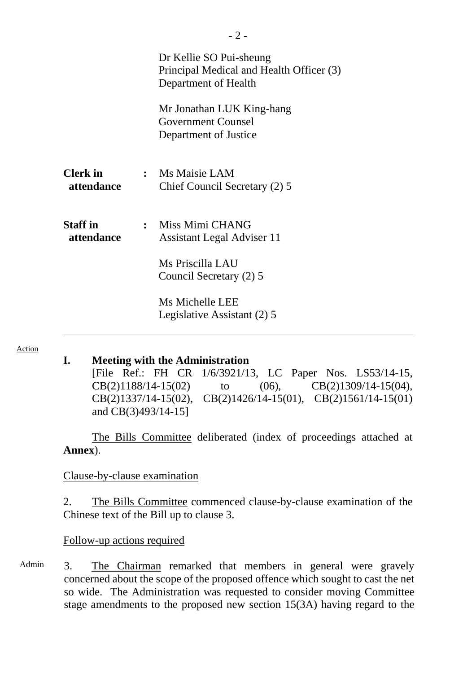|                               | Dr Kellie SO Pui-sheung<br>Principal Medical and Health Officer (3)<br>Department of Health |
|-------------------------------|---------------------------------------------------------------------------------------------|
|                               | Mr Jonathan LUK King-hang<br><b>Government Counsel</b><br>Department of Justice             |
| <b>Clerk</b> in<br>attendance | : Ms Maisie LAM<br>Chief Council Secretary (2) 5                                            |
| <b>Staff</b> in<br>attendance | : Miss Mimi CHANG<br><b>Assistant Legal Adviser 11</b>                                      |
|                               | Ms Priscilla LAU<br>Council Secretary (2) 5                                                 |
|                               | Ms Michelle LEE<br>Legislative Assistant (2) 5                                              |

#### Action

## **I. Meeting with the Administration**

[File Ref.: FH CR 1/6/3921/13, LC Paper Nos. LS53/14-15, CB(2)1188/14-15(02) to (06), CB(2)1309/14-15(04), CB(2)1337/14-15(02), CB(2)1426/14-15(01), CB(2)1561/14-15(01) and CB(3)493/14-15]

The Bills Committee deliberated (index of proceedings attached at **Annex**).

## Clause-by-clause examination

2. The Bills Committee commenced clause-by-clause examination of the Chinese text of the Bill up to clause 3.

### Follow-up actions required

Admin 3. The Chairman remarked that members in general were gravely concerned about the scope of the proposed offence which sought to cast the net so wide. The Administration was requested to consider moving Committee stage amendments to the proposed new section 15(3A) having regard to the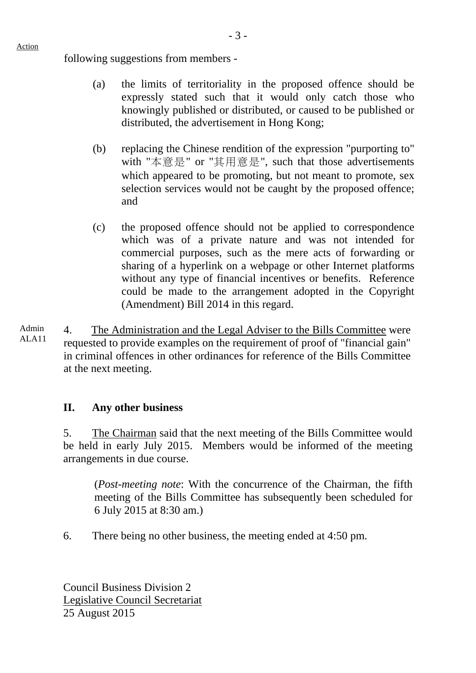- (a) the limits of territoriality in the proposed offence should be expressly stated such that it would only catch those who knowingly published or distributed, or caused to be published or distributed, the advertisement in Hong Kong;
- (b) replacing the Chinese rendition of the expression "purporting to" with "本意是" or "其用意是", such that those advertisements which appeared to be promoting, but not meant to promote, sex selection services would not be caught by the proposed offence; and
- (c) the proposed offence should not be applied to correspondence which was of a private nature and was not intended for commercial purposes, such as the mere acts of forwarding or sharing of a hyperlink on a webpage or other Internet platforms without any type of financial incentives or benefits. Reference could be made to the arrangement adopted in the Copyright (Amendment) Bill 2014 in this regard.

Admin Admin 4. The Administration and the Legal Adviser to the Bills Committee were requested to provide examples on the requirement of proof of "financial gain" in criminal offences in other ordinances for reference of the Bills Committee at the next meeting.

# **II. Any other business**

5. The Chairman said that the next meeting of the Bills Committee would be held in early July 2015. Members would be informed of the meeting arrangements in due course.

(*Post-meeting note*: With the concurrence of the Chairman, the fifth meeting of the Bills Committee has subsequently been scheduled for 6 July 2015 at 8:30 am.)

6. There being no other business, the meeting ended at 4:50 pm.

Council Business Division 2 Legislative Council Secretariat 25 August 2015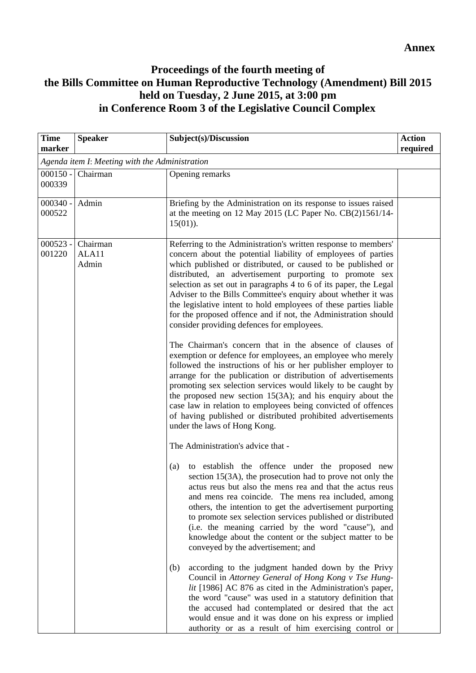# **Proceedings of the fourth meeting of the Bills Committee on Human Reproductive Technology (Amendment) Bill 2015 held on Tuesday, 2 June 2015, at 3:00 pm in Conference Room 3 of the Legislative Council Complex**

| <b>Time</b>          | <b>Speaker</b>                                 | Subject(s)/Discussion                                                                                                                                                                                                                                                                                                                                                                                                                                                                                                                                                                                                                                                                                                                                                                                                                                                                                                                                                                                                                                                                                                                                                                                                                                                                                                                                                                                                                                                                            | <b>Action</b> |
|----------------------|------------------------------------------------|--------------------------------------------------------------------------------------------------------------------------------------------------------------------------------------------------------------------------------------------------------------------------------------------------------------------------------------------------------------------------------------------------------------------------------------------------------------------------------------------------------------------------------------------------------------------------------------------------------------------------------------------------------------------------------------------------------------------------------------------------------------------------------------------------------------------------------------------------------------------------------------------------------------------------------------------------------------------------------------------------------------------------------------------------------------------------------------------------------------------------------------------------------------------------------------------------------------------------------------------------------------------------------------------------------------------------------------------------------------------------------------------------------------------------------------------------------------------------------------------------|---------------|
| marker               | Agenda item I: Meeting with the Administration |                                                                                                                                                                                                                                                                                                                                                                                                                                                                                                                                                                                                                                                                                                                                                                                                                                                                                                                                                                                                                                                                                                                                                                                                                                                                                                                                                                                                                                                                                                  | required      |
| $000150 -$<br>000339 | Chairman                                       | Opening remarks                                                                                                                                                                                                                                                                                                                                                                                                                                                                                                                                                                                                                                                                                                                                                                                                                                                                                                                                                                                                                                                                                                                                                                                                                                                                                                                                                                                                                                                                                  |               |
| $000340 -$<br>000522 | Admin                                          | Briefing by the Administration on its response to issues raised<br>at the meeting on 12 May 2015 (LC Paper No. $CB(2)1561/14$ -<br>$15(01)$ ).                                                                                                                                                                                                                                                                                                                                                                                                                                                                                                                                                                                                                                                                                                                                                                                                                                                                                                                                                                                                                                                                                                                                                                                                                                                                                                                                                   |               |
| $000523 -$<br>001220 | Chairman<br>ALA11<br>Admin                     | Referring to the Administration's written response to members'<br>concern about the potential liability of employees of parties<br>which published or distributed, or caused to be published or<br>distributed, an advertisement purporting to promote sex<br>selection as set out in paragraphs 4 to 6 of its paper, the Legal<br>Adviser to the Bills Committee's enquiry about whether it was<br>the legislative intent to hold employees of these parties liable<br>for the proposed offence and if not, the Administration should<br>consider providing defences for employees.<br>The Chairman's concern that in the absence of clauses of<br>exemption or defence for employees, an employee who merely<br>followed the instructions of his or her publisher employer to<br>arrange for the publication or distribution of advertisements<br>promoting sex selection services would likely to be caught by<br>the proposed new section $15(3A)$ ; and his enquiry about the<br>case law in relation to employees being convicted of offences<br>of having published or distributed prohibited advertisements<br>under the laws of Hong Kong.<br>The Administration's advice that -<br>to establish the offence under the proposed new<br>(a)<br>section 15(3A), the prosecution had to prove not only the<br>actus reus but also the mens rea and that the actus reus<br>and mens rea coincide. The mens rea included, among<br>others, the intention to get the advertisement purporting |               |
|                      |                                                | to promote sex selection services published or distributed<br>(i.e. the meaning carried by the word "cause"), and<br>knowledge about the content or the subject matter to be<br>conveyed by the advertisement; and                                                                                                                                                                                                                                                                                                                                                                                                                                                                                                                                                                                                                                                                                                                                                                                                                                                                                                                                                                                                                                                                                                                                                                                                                                                                               |               |
|                      |                                                | according to the judgment handed down by the Privy<br>(b)<br>Council in Attorney General of Hong Kong v Tse Hung-<br>lit [1986] AC 876 as cited in the Administration's paper,<br>the word "cause" was used in a statutory definition that<br>the accused had contemplated or desired that the act<br>would ensue and it was done on his express or implied<br>authority or as a result of him exercising control or                                                                                                                                                                                                                                                                                                                                                                                                                                                                                                                                                                                                                                                                                                                                                                                                                                                                                                                                                                                                                                                                             |               |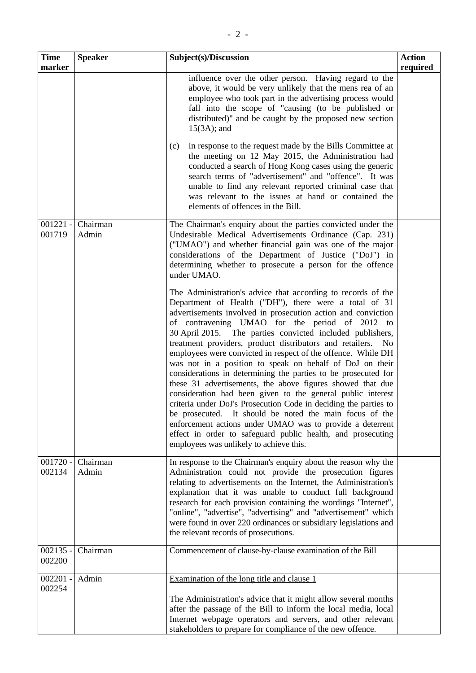| <b>Time</b>          | <b>Speaker</b>    | Subject(s)/Discussion                                                                                                                                                                                                                                                                                                                                                                                                                                                                                                                                                                                                                                                                                                                                                                                                                                                                                                                                                                                | <b>Action</b> |
|----------------------|-------------------|------------------------------------------------------------------------------------------------------------------------------------------------------------------------------------------------------------------------------------------------------------------------------------------------------------------------------------------------------------------------------------------------------------------------------------------------------------------------------------------------------------------------------------------------------------------------------------------------------------------------------------------------------------------------------------------------------------------------------------------------------------------------------------------------------------------------------------------------------------------------------------------------------------------------------------------------------------------------------------------------------|---------------|
| marker               |                   |                                                                                                                                                                                                                                                                                                                                                                                                                                                                                                                                                                                                                                                                                                                                                                                                                                                                                                                                                                                                      | required      |
|                      |                   | influence over the other person. Having regard to the<br>above, it would be very unlikely that the mens rea of an<br>employee who took part in the advertising process would<br>fall into the scope of "causing (to be published or<br>distributed)" and be caught by the proposed new section<br>$15(3A)$ ; and                                                                                                                                                                                                                                                                                                                                                                                                                                                                                                                                                                                                                                                                                     |               |
|                      |                   | in response to the request made by the Bills Committee at<br>(c)<br>the meeting on 12 May 2015, the Administration had<br>conducted a search of Hong Kong cases using the generic<br>search terms of "advertisement" and "offence". It was<br>unable to find any relevant reported criminal case that<br>was relevant to the issues at hand or contained the<br>elements of offences in the Bill.                                                                                                                                                                                                                                                                                                                                                                                                                                                                                                                                                                                                    |               |
| $001221 -$<br>001719 | Chairman<br>Admin | The Chairman's enquiry about the parties convicted under the<br>Undesirable Medical Advertisements Ordinance (Cap. 231)<br>("UMAO") and whether financial gain was one of the major<br>considerations of the Department of Justice ("DoJ") in<br>determining whether to prosecute a person for the offence<br>under UMAO.                                                                                                                                                                                                                                                                                                                                                                                                                                                                                                                                                                                                                                                                            |               |
|                      |                   | The Administration's advice that according to records of the<br>Department of Health ("DH"), there were a total of 31<br>advertisements involved in prosecution action and conviction<br>of contravening UMAO for the period of 2012 to<br>30 April 2015. The parties convicted included publishers,<br>treatment providers, product distributors and retailers. No<br>employees were convicted in respect of the offence. While DH<br>was not in a position to speak on behalf of DoJ on their<br>considerations in determining the parties to be prosecuted for<br>these 31 advertisements, the above figures showed that due<br>consideration had been given to the general public interest<br>criteria under DoJ's Prosecution Code in deciding the parties to<br>be prosecuted. It should be noted the main focus of the<br>enforcement actions under UMAO was to provide a deterrent<br>effect in order to safeguard public health, and prosecuting<br>employees was unlikely to achieve this. |               |
| $001720 -$<br>002134 | Chairman<br>Admin | In response to the Chairman's enquiry about the reason why the<br>Administration could not provide the prosecution figures<br>relating to advertisements on the Internet, the Administration's<br>explanation that it was unable to conduct full background<br>research for each provision containing the wordings "Internet",<br>"online", "advertise", "advertising" and "advertisement" which<br>were found in over 220 ordinances or subsidiary legislations and<br>the relevant records of prosecutions.                                                                                                                                                                                                                                                                                                                                                                                                                                                                                        |               |
| $002135 -$<br>002200 | Chairman          | Commencement of clause-by-clause examination of the Bill                                                                                                                                                                                                                                                                                                                                                                                                                                                                                                                                                                                                                                                                                                                                                                                                                                                                                                                                             |               |
| $002201 -$           | Admin             | Examination of the long title and clause 1                                                                                                                                                                                                                                                                                                                                                                                                                                                                                                                                                                                                                                                                                                                                                                                                                                                                                                                                                           |               |
| 002254               |                   | The Administration's advice that it might allow several months<br>after the passage of the Bill to inform the local media, local<br>Internet webpage operators and servers, and other relevant<br>stakeholders to prepare for compliance of the new offence.                                                                                                                                                                                                                                                                                                                                                                                                                                                                                                                                                                                                                                                                                                                                         |               |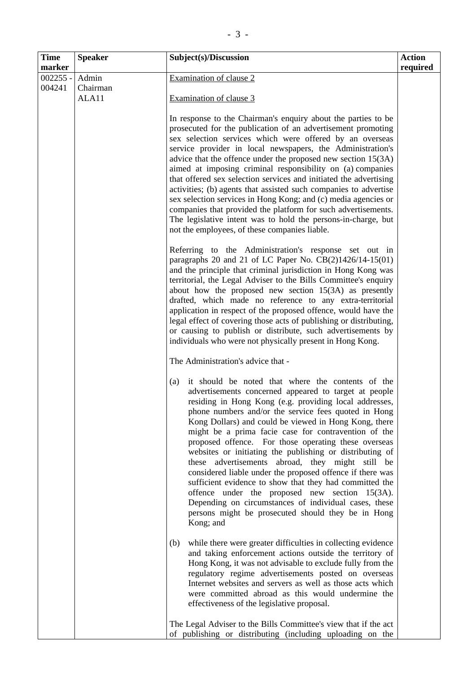| <b>Time</b><br>marker | <b>Speaker</b>    | Subject(s)/Discussion                                                                                                                                                                                                                                                                                                                                                                                                                                                                                                                                                                                                                                                                                                                                                                                                              | <b>Action</b><br>required |
|-----------------------|-------------------|------------------------------------------------------------------------------------------------------------------------------------------------------------------------------------------------------------------------------------------------------------------------------------------------------------------------------------------------------------------------------------------------------------------------------------------------------------------------------------------------------------------------------------------------------------------------------------------------------------------------------------------------------------------------------------------------------------------------------------------------------------------------------------------------------------------------------------|---------------------------|
| $002255 -$            | Admin             | Examination of clause 2                                                                                                                                                                                                                                                                                                                                                                                                                                                                                                                                                                                                                                                                                                                                                                                                            |                           |
| 004241                | Chairman<br>ALA11 | Examination of clause 3                                                                                                                                                                                                                                                                                                                                                                                                                                                                                                                                                                                                                                                                                                                                                                                                            |                           |
|                       |                   | In response to the Chairman's enquiry about the parties to be<br>prosecuted for the publication of an advertisement promoting<br>sex selection services which were offered by an overseas<br>service provider in local newspapers, the Administration's<br>advice that the offence under the proposed new section 15(3A)<br>aimed at imposing criminal responsibility on (a) companies<br>that offered sex selection services and initiated the advertising<br>activities; (b) agents that assisted such companies to advertise<br>sex selection services in Hong Kong; and (c) media agencies or<br>companies that provided the platform for such advertisements.<br>The legislative intent was to hold the persons-in-charge, but<br>not the employees, of these companies liable.                                               |                           |
|                       |                   | Referring to the Administration's response set out in<br>paragraphs 20 and 21 of LC Paper No. $CB(2)1426/14-15(01)$<br>and the principle that criminal jurisdiction in Hong Kong was<br>territorial, the Legal Adviser to the Bills Committee's enquiry<br>about how the proposed new section $15(3A)$ as presently<br>drafted, which made no reference to any extra-territorial<br>application in respect of the proposed offence, would have the<br>legal effect of covering those acts of publishing or distributing,<br>or causing to publish or distribute, such advertisements by<br>individuals who were not physically present in Hong Kong.                                                                                                                                                                               |                           |
|                       |                   | The Administration's advice that -                                                                                                                                                                                                                                                                                                                                                                                                                                                                                                                                                                                                                                                                                                                                                                                                 |                           |
|                       |                   | it should be noted that where the contents of the<br>(a)<br>advertisements concerned appeared to target at people<br>residing in Hong Kong (e.g. providing local addresses,<br>phone numbers and/or the service fees quoted in Hong<br>Kong Dollars) and could be viewed in Hong Kong, there<br>might be a prima facie case for contravention of the<br>proposed offence. For those operating these overseas<br>websites or initiating the publishing or distributing of<br>these advertisements abroad, they might still be<br>considered liable under the proposed offence if there was<br>sufficient evidence to show that they had committed the<br>offence under the proposed new section 15(3A).<br>Depending on circumstances of individual cases, these<br>persons might be prosecuted should they be in Hong<br>Kong; and |                           |
|                       |                   | while there were greater difficulties in collecting evidence<br>(b)<br>and taking enforcement actions outside the territory of<br>Hong Kong, it was not advisable to exclude fully from the<br>regulatory regime advertisements posted on overseas<br>Internet websites and servers as well as those acts which<br>were committed abroad as this would undermine the<br>effectiveness of the legislative proposal.                                                                                                                                                                                                                                                                                                                                                                                                                 |                           |
|                       |                   | The Legal Adviser to the Bills Committee's view that if the act<br>of publishing or distributing (including uploading on the                                                                                                                                                                                                                                                                                                                                                                                                                                                                                                                                                                                                                                                                                                       |                           |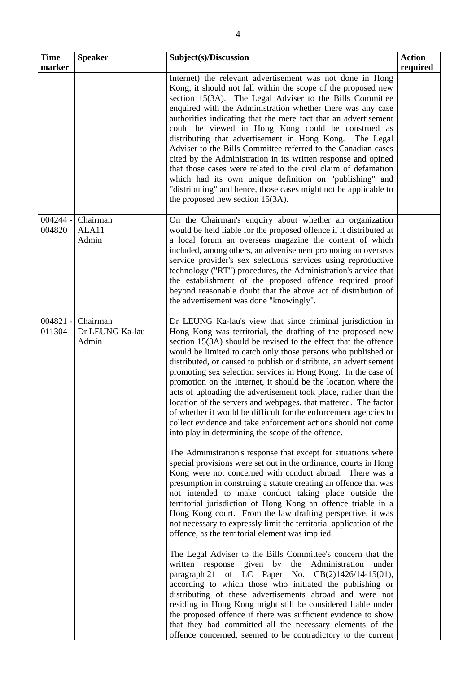| <b>Time</b><br>marker | <b>Speaker</b>                       | Subject(s)/Discussion                                                                                                                                                                                                                                                                                                                                                                                                                                                                                                                                                                                                                                                                                                                                                                                                                                                    | <b>Action</b><br>required |
|-----------------------|--------------------------------------|--------------------------------------------------------------------------------------------------------------------------------------------------------------------------------------------------------------------------------------------------------------------------------------------------------------------------------------------------------------------------------------------------------------------------------------------------------------------------------------------------------------------------------------------------------------------------------------------------------------------------------------------------------------------------------------------------------------------------------------------------------------------------------------------------------------------------------------------------------------------------|---------------------------|
|                       |                                      | Internet) the relevant advertisement was not done in Hong<br>Kong, it should not fall within the scope of the proposed new<br>section 15(3A). The Legal Adviser to the Bills Committee<br>enquired with the Administration whether there was any case<br>authorities indicating that the mere fact that an advertisement<br>could be viewed in Hong Kong could be construed as<br>distributing that advertisement in Hong Kong. The Legal<br>Adviser to the Bills Committee referred to the Canadian cases<br>cited by the Administration in its written response and opined<br>that those cases were related to the civil claim of defamation<br>which had its own unique definition on "publishing" and<br>"distributing" and hence, those cases might not be applicable to<br>the proposed new section 15(3A).                                                        |                           |
| $004244 -$<br>004820  | Chairman<br>ALA11<br>Admin           | On the Chairman's enquiry about whether an organization<br>would be held liable for the proposed offence if it distributed at<br>a local forum an overseas magazine the content of which<br>included, among others, an advertisement promoting an overseas<br>service provider's sex selections services using reproductive<br>technology ("RT") procedures, the Administration's advice that<br>the establishment of the proposed offence required proof<br>beyond reasonable doubt that the above act of distribution of<br>the advertisement was done "knowingly".                                                                                                                                                                                                                                                                                                    |                           |
| $004821 -$<br>011304  | Chairman<br>Dr LEUNG Ka-lau<br>Admin | Dr LEUNG Ka-lau's view that since criminal jurisdiction in<br>Hong Kong was territorial, the drafting of the proposed new<br>section 15(3A) should be revised to the effect that the offence<br>would be limited to catch only those persons who published or<br>distributed, or caused to publish or distribute, an advertisement<br>promoting sex selection services in Hong Kong. In the case of<br>promotion on the Internet, it should be the location where the<br>acts of uploading the advertisement took place, rather than the<br>location of the servers and webpages, that mattered. The factor<br>of whether it would be difficult for the enforcement agencies to<br>collect evidence and take enforcement actions should not come<br>into play in determining the scope of the offence.<br>The Administration's response that except for situations where |                           |
|                       |                                      | special provisions were set out in the ordinance, courts in Hong<br>Kong were not concerned with conduct abroad. There was a<br>presumption in construing a statute creating an offence that was<br>not intended to make conduct taking place outside the<br>territorial jurisdiction of Hong Kong an offence triable in a<br>Hong Kong court. From the law drafting perspective, it was<br>not necessary to expressly limit the territorial application of the<br>offence, as the territorial element was implied.                                                                                                                                                                                                                                                                                                                                                      |                           |
|                       |                                      | The Legal Adviser to the Bills Committee's concern that the<br>written response given by the Administration<br>under<br>paragraph 21 of LC Paper No. CB(2)1426/14-15(01),<br>according to which those who initiated the publishing or<br>distributing of these advertisements abroad and were not<br>residing in Hong Kong might still be considered liable under<br>the proposed offence if there was sufficient evidence to show<br>that they had committed all the necessary elements of the<br>offence concerned, seemed to be contradictory to the current                                                                                                                                                                                                                                                                                                          |                           |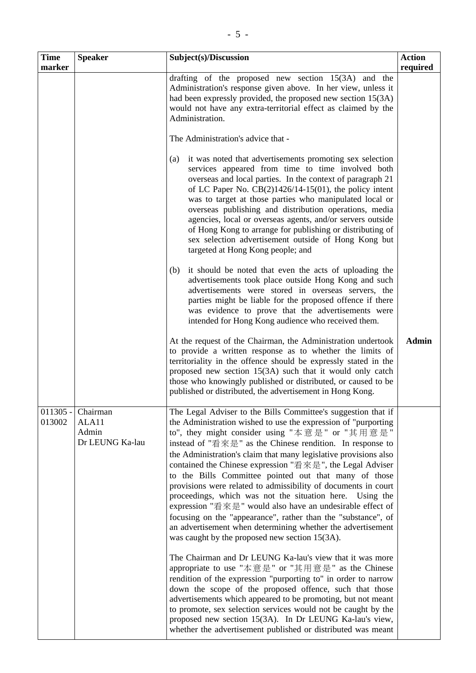| <b>Time</b><br>marker | <b>Speaker</b>                                | Subject(s)/Discussion                                                                                                                                                                                                                                                                                                                                                                                                                                                                                                                                                                                                                                                                                                                                                                                                                                                                                                                                                                                                                                                                                                                                                                                                                                                                                                           | <b>Action</b><br>required |
|-----------------------|-----------------------------------------------|---------------------------------------------------------------------------------------------------------------------------------------------------------------------------------------------------------------------------------------------------------------------------------------------------------------------------------------------------------------------------------------------------------------------------------------------------------------------------------------------------------------------------------------------------------------------------------------------------------------------------------------------------------------------------------------------------------------------------------------------------------------------------------------------------------------------------------------------------------------------------------------------------------------------------------------------------------------------------------------------------------------------------------------------------------------------------------------------------------------------------------------------------------------------------------------------------------------------------------------------------------------------------------------------------------------------------------|---------------------------|
|                       |                                               | drafting of the proposed new section 15(3A) and the<br>Administration's response given above. In her view, unless it<br>had been expressly provided, the proposed new section 15(3A)<br>would not have any extra-territorial effect as claimed by the<br>Administration.                                                                                                                                                                                                                                                                                                                                                                                                                                                                                                                                                                                                                                                                                                                                                                                                                                                                                                                                                                                                                                                        |                           |
|                       |                                               | The Administration's advice that -                                                                                                                                                                                                                                                                                                                                                                                                                                                                                                                                                                                                                                                                                                                                                                                                                                                                                                                                                                                                                                                                                                                                                                                                                                                                                              |                           |
|                       |                                               | it was noted that advertisements promoting sex selection<br>(a)<br>services appeared from time to time involved both<br>overseas and local parties. In the context of paragraph 21<br>of LC Paper No. $CB(2)1426/14-15(01)$ , the policy intent<br>was to target at those parties who manipulated local or<br>overseas publishing and distribution operations, media<br>agencies, local or overseas agents, and/or servers outside<br>of Hong Kong to arrange for publishing or distributing of<br>sex selection advertisement outside of Hong Kong but<br>targeted at Hong Kong people; and                                                                                                                                                                                                                                                                                                                                                                                                                                                                                                                                                                                                                                                                                                                                    |                           |
|                       |                                               | it should be noted that even the acts of uploading the<br>(b)<br>advertisements took place outside Hong Kong and such<br>advertisements were stored in overseas servers, the<br>parties might be liable for the proposed offence if there<br>was evidence to prove that the advertisements were<br>intended for Hong Kong audience who received them.                                                                                                                                                                                                                                                                                                                                                                                                                                                                                                                                                                                                                                                                                                                                                                                                                                                                                                                                                                           |                           |
|                       |                                               | At the request of the Chairman, the Administration undertook<br>to provide a written response as to whether the limits of<br>territoriality in the offence should be expressly stated in the<br>proposed new section 15(3A) such that it would only catch<br>those who knowingly published or distributed, or caused to be<br>published or distributed, the advertisement in Hong Kong.                                                                                                                                                                                                                                                                                                                                                                                                                                                                                                                                                                                                                                                                                                                                                                                                                                                                                                                                         | <b>Admin</b>              |
| $011305 -$<br>013002  | Chairman<br>ALA11<br>Admin<br>Dr LEUNG Ka-lau | The Legal Adviser to the Bills Committee's suggestion that if<br>the Administration wished to use the expression of "purporting<br>to", they might consider using "本意是" or "其用意是"<br>instead of "看來是" as the Chinese rendition. In response to<br>the Administration's claim that many legislative provisions also<br>contained the Chinese expression "看來是", the Legal Adviser<br>to the Bills Committee pointed out that many of those<br>provisions were related to admissibility of documents in court<br>proceedings, which was not the situation here. Using the<br>expression "看來是" would also have an undesirable effect of<br>focusing on the "appearance", rather than the "substance", of<br>an advertisement when determining whether the advertisement<br>was caught by the proposed new section 15(3A).<br>The Chairman and Dr LEUNG Ka-lau's view that it was more<br>appropriate to use "本意是" or "其用意是" as the Chinese<br>rendition of the expression "purporting to" in order to narrow<br>down the scope of the proposed offence, such that those<br>advertisements which appeared to be promoting, but not meant<br>to promote, sex selection services would not be caught by the<br>proposed new section 15(3A). In Dr LEUNG Ka-lau's view,<br>whether the advertisement published or distributed was meant |                           |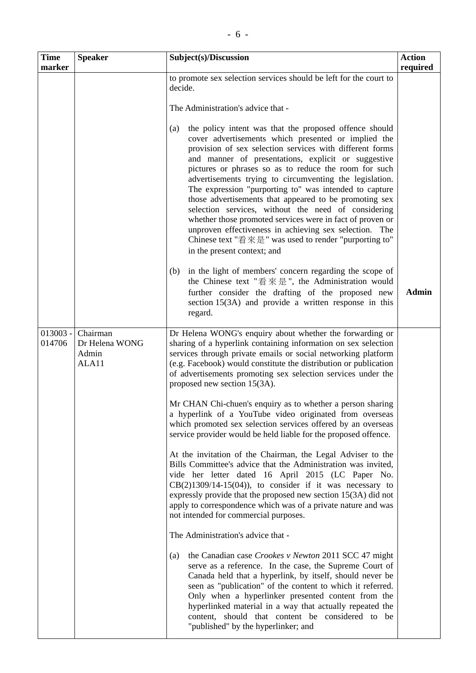| <b>Time</b>          | <b>Speaker</b>                               | Subject(s)/Discussion                                                                                                                                                                                                                                                                                                                                                                                                                                                                                                                                                                                                                                                                                                                                 | <b>Action</b> |
|----------------------|----------------------------------------------|-------------------------------------------------------------------------------------------------------------------------------------------------------------------------------------------------------------------------------------------------------------------------------------------------------------------------------------------------------------------------------------------------------------------------------------------------------------------------------------------------------------------------------------------------------------------------------------------------------------------------------------------------------------------------------------------------------------------------------------------------------|---------------|
| marker               |                                              | to promote sex selection services should be left for the court to                                                                                                                                                                                                                                                                                                                                                                                                                                                                                                                                                                                                                                                                                     | required      |
|                      |                                              | decide.                                                                                                                                                                                                                                                                                                                                                                                                                                                                                                                                                                                                                                                                                                                                               |               |
|                      |                                              | The Administration's advice that -                                                                                                                                                                                                                                                                                                                                                                                                                                                                                                                                                                                                                                                                                                                    |               |
|                      |                                              | the policy intent was that the proposed offence should<br>(a)<br>cover advertisements which presented or implied the<br>provision of sex selection services with different forms<br>and manner of presentations, explicit or suggestive<br>pictures or phrases so as to reduce the room for such<br>advertisements trying to circumventing the legislation.<br>The expression "purporting to" was intended to capture<br>those advertisements that appeared to be promoting sex<br>selection services, without the need of considering<br>whether those promoted services were in fact of proven or<br>unproven effectiveness in achieving sex selection. The<br>Chinese text "看來是" was used to render "purporting to"<br>in the present context; and |               |
|                      |                                              | in the light of members' concern regarding the scope of<br>(b)<br>the Chinese text "看來是", the Administration would<br>further consider the drafting of the proposed new<br>section 15(3A) and provide a written response in this<br>regard.                                                                                                                                                                                                                                                                                                                                                                                                                                                                                                           | <b>Admin</b>  |
| $013003 -$<br>014706 | Chairman<br>Dr Helena WONG<br>Admin<br>ALA11 | Dr Helena WONG's enquiry about whether the forwarding or<br>sharing of a hyperlink containing information on sex selection<br>services through private emails or social networking platform<br>(e.g. Facebook) would constitute the distribution or publication<br>of advertisements promoting sex selection services under the<br>proposed new section 15(3A).                                                                                                                                                                                                                                                                                                                                                                                       |               |
|                      |                                              | Mr CHAN Chi-chuen's enquiry as to whether a person sharing<br>a hyperlink of a YouTube video originated from overseas<br>which promoted sex selection services offered by an overseas<br>service provider would be held liable for the proposed offence.                                                                                                                                                                                                                                                                                                                                                                                                                                                                                              |               |
|                      |                                              | At the invitation of the Chairman, the Legal Adviser to the<br>Bills Committee's advice that the Administration was invited,<br>vide her letter dated 16 April 2015 (LC Paper No.<br>$CB(2)1309/14-15(04)$ , to consider if it was necessary to<br>expressly provide that the proposed new section 15(3A) did not<br>apply to correspondence which was of a private nature and was<br>not intended for commercial purposes.                                                                                                                                                                                                                                                                                                                           |               |
|                      |                                              | The Administration's advice that -                                                                                                                                                                                                                                                                                                                                                                                                                                                                                                                                                                                                                                                                                                                    |               |
|                      |                                              | the Canadian case <i>Crookes</i> v Newton 2011 SCC 47 might<br>(a)<br>serve as a reference. In the case, the Supreme Court of<br>Canada held that a hyperlink, by itself, should never be<br>seen as "publication" of the content to which it referred.<br>Only when a hyperlinker presented content from the<br>hyperlinked material in a way that actually repeated the<br>content, should that content be considered to be<br>"published" by the hyperlinker; and                                                                                                                                                                                                                                                                                  |               |